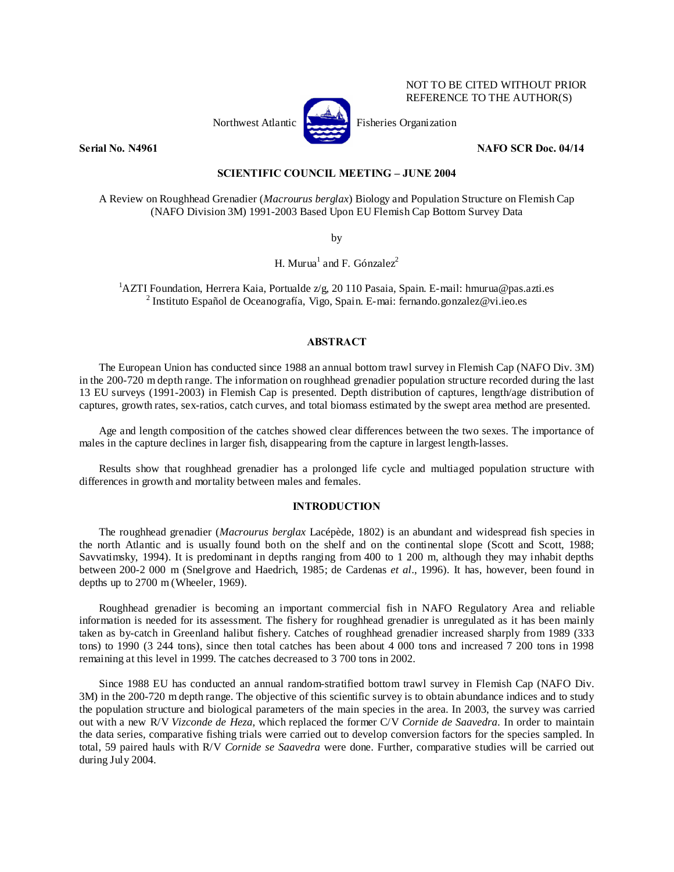

NOT TO BE CITED WITHOUT PRIOR REFERENCE TO THE AUTHOR(S)

# **Serial No. N4961** NAFO SCR Doc. 04/14

## **SCIENTIFIC COUNCIL MEETING – JUNE 2004**

A Review on Roughhead Grenadier (*Macrourus berglax*) Biology and Population Structure on Flemish Cap (NAFO Division 3M) 1991-2003 Based Upon EU Flemish Cap Bottom Survey Data

by

H. Murua<sup>1</sup> and F. Gónzalez<sup>2</sup>

<sup>1</sup>AZTI Foundation, Herrera Kaia, Portualde z/g, 20 110 Pasaia, Spain. E-mail: hmurua@pas.azti.es <sup>2</sup> Institute Español de Oceanografía, Visco, Spain. E-mail: formando gonzelez@ui.ieo.es <sup>2</sup> Instituto Español de Oceanografía, Vigo, Spain. E-mai: fernando.gonzalez@vi.ieo.es

### **ABSTRACT**

The European Union has conducted since 1988 an annual bottom trawl survey in Flemish Cap (NAFO Div. 3M) in the 200-720 m depth range. The information on roughhead grenadier population structure recorded during the last 13 EU surveys (1991-2003) in Flemish Cap is presented. Depth distribution of captures, length/age distribution of captures, growth rates, sex-ratios, catch curves, and total biomass estimated by the swept area method are presented.

Age and length composition of the catches showed clear differences between the two sexes. The importance of males in the capture declines in larger fish, disappearing from the capture in largest length-lasses.

Results show that roughhead grenadier has a prolonged life cycle and multiaged population structure with differences in growth and mortality between males and females.

#### **INTRODUCTION**

The roughhead grenadier (*Macrourus berglax* Lacépède, 1802) is an abundant and widespread fish species in the north Atlantic and is usually found both on the shelf and on the continental slope (Scott and Scott, 1988; Savvatimsky, 1994). It is predominant in depths ranging from 400 to 1 200 m, although they may inhabit depths between 200-2 000 m (Snelgrove and Haedrich, 1985; de Cardenas *et al*., 1996). It has, however, been found in depths up to 2700 m (Wheeler, 1969).

Roughhead grenadier is becoming an important commercial fish in NAFO Regulatory Area and reliable information is needed for its assessment. The fishery for roughhead grenadier is unregulated as it has been mainly taken as by-catch in Greenland halibut fishery. Catches of roughhead grenadier increased sharply from 1989 (333 tons) to 1990 (3 244 tons), since then total catches has been about 4 000 tons and increased 7 200 tons in 1998 remaining at this level in 1999. The catches decreased to 3 700 tons in 2002.

Since 1988 EU has conducted an annual random-stratified bottom trawl survey in Flemish Cap (NAFO Div. 3M) in the 200-720 m depth range. The objective of this scientific survey is to obtain abundance indices and to study the population structure and biological parameters of the main species in the area. In 2003, the survey was carried out with a new R/V *Vizconde de Heza*, which replaced the former C/V *Cornide de Saavedra*. In order to maintain the data series, comparative fishing trials were carried out to develop conversion factors for the species sampled. In total, 59 paired hauls with R/V *Cornide se Saavedra* were done. Further, comparative studies will be carried out during July 2004.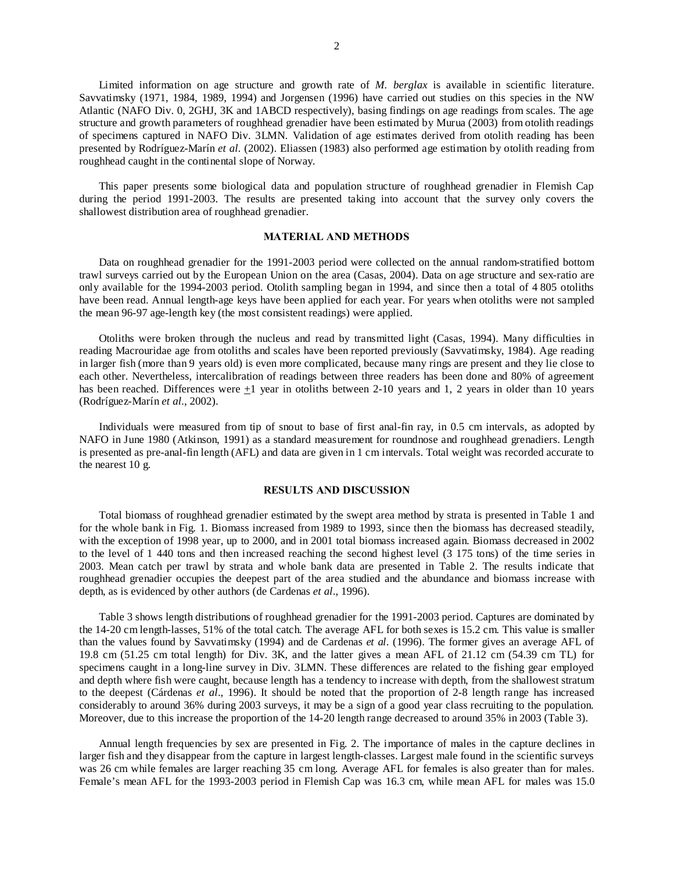Limited information on age structure and growth rate of *M. berglax* is available in scientific literature. Savvatimsky (1971, 1984, 1989, 1994) and Jorgensen (1996) have carried out studies on this species in the NW Atlantic (NAFO Div. 0, 2GHJ, 3K and 1ABCD respectively), basing findings on age readings from scales. The age structure and growth parameters of roughhead grenadier have been estimated by Murua (2003) from otolith readings of specimens captured in NAFO Div. 3LMN. Validation of age estimates derived from otolith reading has been presented by Rodríguez-Marín *et al.* (2002). Eliassen (1983) also performed age estimation by otolith reading from roughhead caught in the continental slope of Norway.

This paper presents some biological data and population structure of roughhead grenadier in Flemish Cap during the period 1991-2003. The results are presented taking into account that the survey only covers the shallowest distribution area of roughhead grenadier.

### **MATERIAL AND METHODS**

Data on roughhead grenadier for the 1991-2003 period were collected on the annual random-stratified bottom trawl surveys carried out by the European Union on the area (Casas, 2004). Data on age structure and sex-ratio are only available for the 1994-2003 period. Otolith sampling began in 1994, and since then a total of 4 805 otoliths have been read. Annual length-age keys have been applied for each year. For years when otoliths were not sampled the mean 96-97 age-length key (the most consistent readings) were applied.

Otoliths were broken through the nucleus and read by transmitted light (Casas, 1994). Many difficulties in reading Macrouridae age from otoliths and scales have been reported previously (Savvatimsky, 1984). Age reading in larger fish (more than 9 years old) is even more complicated, because many rings are present and they lie close to each other. Nevertheless, intercalibration of readings between three readers has been done and 80% of agreement has been reached. Differences were +1 year in otoliths between 2-10 years and 1, 2 years in older than 10 years (Rodríguez-Marín *et al.*, 2002).

Individuals were measured from tip of snout to base of first anal-fin ray, in 0.5 cm intervals, as adopted by NAFO in June 1980 (Atkinson, 1991) as a standard measurement for roundnose and roughhead grenadiers. Length is presented as pre-anal-fin length (AFL) and data are given in 1 cm intervals. Total weight was recorded accurate to the nearest 10 g.

## **RESULTS AND DISCUSSION**

Total biomass of roughhead grenadier estimated by the swept area method by strata is presented in Table 1 and for the whole bank in Fig. 1. Biomass increased from 1989 to 1993, since then the biomass has decreased steadily, with the exception of 1998 year, up to 2000, and in 2001 total biomass increased again. Biomass decreased in 2002 to the level of 1 440 tons and then increased reaching the second highest level (3 175 tons) of the time series in 2003. Mean catch per trawl by strata and whole bank data are presented in Table 2. The results indicate that roughhead grenadier occupies the deepest part of the area studied and the abundance and biomass increase with depth, as is evidenced by other authors (de Cardenas *et al*., 1996).

Table 3 shows length distributions of roughhead grenadier for the 1991-2003 period. Captures are dominated by the 14-20 cm length-lasses, 51% of the total catch. The average AFL for both sexes is 15.2 cm. This value is smaller than the values found by Savvatimsky (1994) and de Cardenas *et al*. (1996). The former gives an average AFL of 19.8 cm (51.25 cm total length) for Div. 3K, and the latter gives a mean AFL of 21.12 cm (54.39 cm TL) for specimens caught in a long-line survey in Div. 3LMN. These differences are related to the fishing gear employed and depth where fish were caught, because length has a tendency to increase with depth, from the shallowest stratum to the deepest (Cárdenas *et al*., 1996). It should be noted that the proportion of 2-8 length range has increased considerably to around 36% during 2003 surveys, it may be a sign of a good year class recruiting to the population. Moreover, due to this increase the proportion of the 14-20 length range decreased to around 35% in 2003 (Table 3).

Annual length frequencies by sex are presented in Fig. 2. The importance of males in the capture declines in larger fish and they disappear from the capture in largest length-classes. Largest male found in the scientific surveys was 26 cm while females are larger reaching 35 cm long. Average AFL for females is also greater than for males. Female's mean AFL for the 1993-2003 period in Flemish Cap was 16.3 cm, while mean AFL for males was 15.0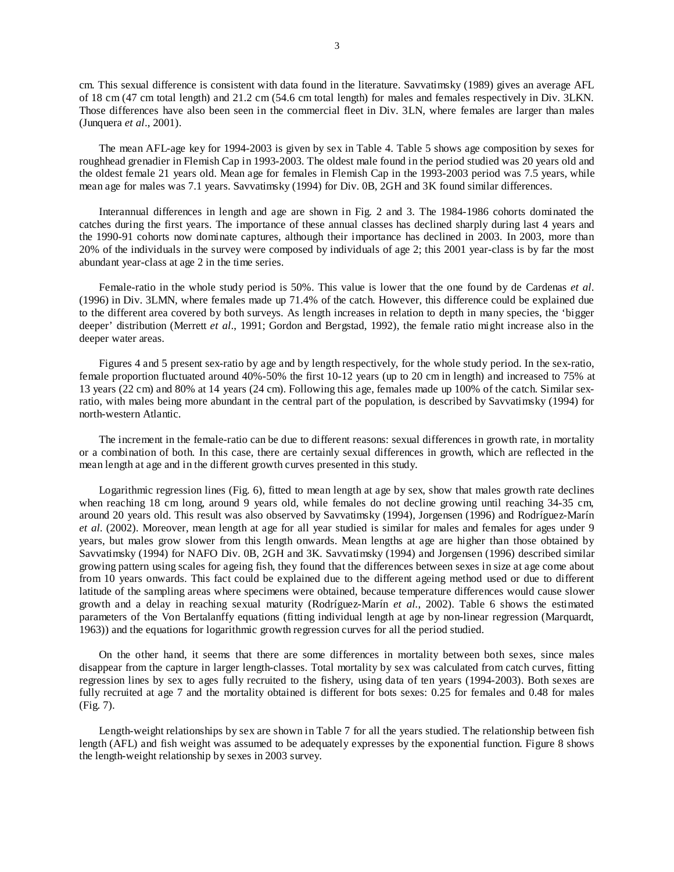cm. This sexual difference is consistent with data found in the literature. Savvatimsky (1989) gives an average AFL of 18 cm (47 cm total length) and 21.2 cm (54.6 cm total length) for males and females respectively in Div. 3LKN. Those differences have also been seen in the commercial fleet in Div. 3LN, where females are larger than males (Junquera *et al*., 2001).

The mean AFL-age key for 1994-2003 is given by sex in Table 4. Table 5 shows age composition by sexes for roughhead grenadier in Flemish Cap in 1993-2003. The oldest male found in the period studied was 20 years old and the oldest female 21 years old. Mean age for females in Flemish Cap in the 1993-2003 period was 7.5 years, while mean age for males was 7.1 years. Savvatimsky (1994) for Div. 0B, 2GH and 3K found similar differences.

Interannual differences in length and age are shown in Fig. 2 and 3. The 1984-1986 cohorts dominated the catches during the first years. The importance of these annual classes has declined sharply during last 4 years and the 1990-91 cohorts now dominate captures, although their importance has declined in 2003. In 2003, more than 20% of the individuals in the survey were composed by individuals of age 2; this 2001 year-class is by far the most abundant year-class at age 2 in the time series.

Female-ratio in the whole study period is 50%. This value is lower that the one found by de Cardenas *et al*. (1996) in Div. 3LMN, where females made up 71.4% of the catch. However, this difference could be explained due to the different area covered by both surveys. As length increases in relation to depth in many species, the 'bigger deeper' distribution (Merrett *et al*., 1991; Gordon and Bergstad, 1992), the female ratio might increase also in the deeper water areas.

Figures 4 and 5 present sex-ratio by age and by length respectively, for the whole study period. In the sex-ratio, female proportion fluctuated around 40%-50% the first 10-12 years (up to 20 cm in length) and increased to 75% at 13 years (22 cm) and 80% at 14 years (24 cm). Following this age, females made up 100% of the catch. Similar sexratio, with males being more abundant in the central part of the population, is described by Savvatimsky (1994) for north-western Atlantic.

The increment in the female-ratio can be due to different reasons: sexual differences in growth rate, in mortality or a combination of both. In this case, there are certainly sexual differences in growth, which are reflected in the mean length at age and in the different growth curves presented in this study.

Logarithmic regression lines (Fig. 6), fitted to mean length at age by sex, show that males growth rate declines when reaching 18 cm long, around 9 years old, while females do not decline growing until reaching 34-35 cm, around 20 years old. This result was also observed by Savvatimsky (1994), Jorgensen (1996) and Rodríguez-Marín *et al.* (2002). Moreover, mean length at age for all year studied is similar for males and females for ages under 9 years, but males grow slower from this length onwards. Mean lengths at age are higher than those obtained by Savvatimsky (1994) for NAFO Div. 0B, 2GH and 3K. Savvatimsky (1994) and Jorgensen (1996) described similar growing pattern using scales for ageing fish, they found that the differences between sexes in size at age come about from 10 years onwards. This fact could be explained due to the different ageing method used or due to different latitude of the sampling areas where specimens were obtained, because temperature differences would cause slower growth and a delay in reaching sexual maturity (Rodríguez-Marín *et al.*, 2002). Table 6 shows the estimated parameters of the Von Bertalanffy equations (fitting individual length at age by non-linear regression (Marquardt, 1963)) and the equations for logarithmic growth regression curves for all the period studied.

On the other hand, it seems that there are some differences in mortality between both sexes, since males disappear from the capture in larger length-classes. Total mortality by sex was calculated from catch curves, fitting regression lines by sex to ages fully recruited to the fishery, using data of ten years (1994-2003). Both sexes are fully recruited at age 7 and the mortality obtained is different for bots sexes: 0.25 for females and 0.48 for males (Fig. 7).

Length-weight relationships by sex are shown in Table 7 for all the years studied. The relationship between fish length (AFL) and fish weight was assumed to be adequately expresses by the exponential function. Figure 8 shows the length-weight relationship by sexes in 2003 survey.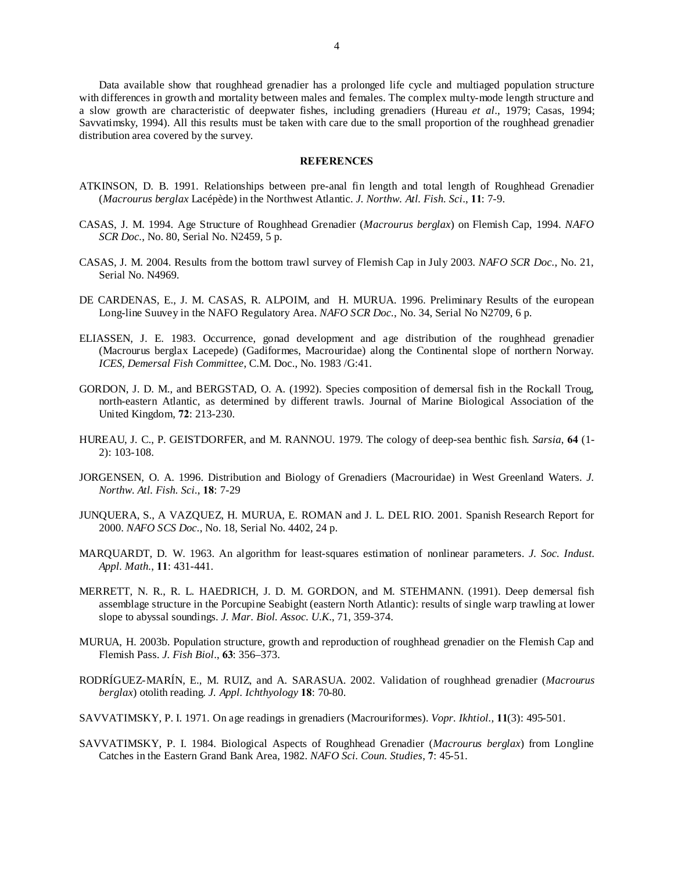Data available show that roughhead grenadier has a prolonged life cycle and multiaged population structure with differences in growth and mortality between males and females. The complex multy-mode length structure and a slow growth are characteristic of deepwater fishes, including grenadiers (Hureau *et al*., 1979; Casas, 1994; Savvatimsky, 1994). All this results must be taken with care due to the small proportion of the roughhead grenadier distribution area covered by the survey.

#### **REFERENCES**

- ATKINSON, D. B. 1991. Relationships between pre-anal fin length and total length of Roughhead Grenadier (*Macrourus berglax* Lacépède) in the Northwest Atlantic. *J. Northw. Atl. Fish. Sci*., **11**: 7-9.
- CASAS, J. M. 1994. Age Structure of Roughhead Grenadier (*Macrourus berglax*) on Flemish Cap, 1994. *NAFO SCR Doc.*, No. 80, Serial No. N2459, 5 p.
- CASAS, J. M. 2004. Results from the bottom trawl survey of Flemish Cap in July 2003. *NAFO SCR Doc.*, No. 21, Serial No. N4969.
- DE CARDENAS, E., J. M. CASAS, R. ALPOIM, and H. MURUA. 1996. Preliminary Results of the european Long-line Suuvey in the NAFO Regulatory Area. *NAFO SCR Doc.*, No. 34, Serial No N2709, 6 p.
- ELIASSEN, J. E. 1983. Occurrence, gonad development and age distribution of the roughhead grenadier (Macrourus berglax Lacepede) (Gadiformes, Macrouridae) along the Continental slope of northern Norway. *ICES, Demersal Fish Committee*, C.M. Doc., No. 1983 /G:41.
- GORDON, J. D. M., and BERGSTAD, O. A. (1992). Species composition of demersal fish in the Rockall Troug, north-eastern Atlantic, as determined by different trawls. Journal of Marine Biological Association of the United Kingdom, **72**: 213-230.
- HUREAU, J. C., P. GEISTDORFER, and M. RANNOU. 1979. The cology of deep-sea benthic fish. *Sarsia*, **64** (1- 2): 103-108.
- JORGENSEN, O. A. 1996. Distribution and Biology of Grenadiers (Macrouridae) in West Greenland Waters. *J. Northw. Atl. Fish. Sci.*, **18**: 7-29
- JUNQUERA, S., A VAZQUEZ, H. MURUA, E. ROMAN and J. L. DEL RIO. 2001. Spanish Research Report for 2000. *NAFO SCS Doc.*, No. 18, Serial No. 4402, 24 p.
- MARQUARDT, D. W. 1963. An algorithm for least-squares estimation of nonlinear parameters. *J. Soc. Indust. Appl. Math.*, **11**: 431-441.
- MERRETT, N. R., R. L. HAEDRICH, J. D. M. GORDON, and M. STEHMANN. (1991). Deep demersal fish assemblage structure in the Porcupine Seabight (eastern North Atlantic): results of single warp trawling at lower slope to abyssal soundings. *J. Mar. Biol. Assoc. U.K*., 71, 359-374.
- MURUA, H. 2003b. Population structure, growth and reproduction of roughhead grenadier on the Flemish Cap and Flemish Pass. *J. Fish Biol*., **63**: 356–373.
- RODRÍGUEZ-MARÍN, E., M. RUIZ, and A. SARASUA. 2002. Validation of roughhead grenadier (*Macrourus berglax*) otolith reading. *J. Appl. Ichthyology* **18**: 70-80.
- SAVVATIMSKY, P. I. 1971. On age readings in grenadiers (Macrouriformes). *Vopr. Ikhtiol.,* **11**(3): 495-501.
- SAVVATIMSKY, P. I. 1984. Biological Aspects of Roughhead Grenadier (*Macrourus berglax*) from Longline Catches in the Eastern Grand Bank Area, 1982. *NAFO Sci. Coun. Studies*, **7**: 45-51.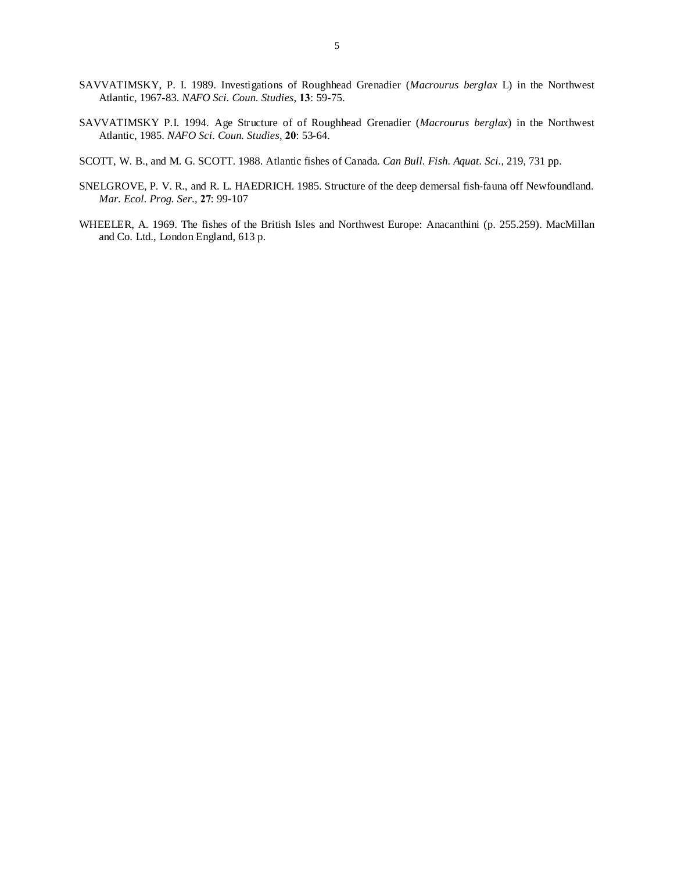- SAVVATIMSKY, P. I. 1989. Investigations of Roughhead Grenadier (*Macrourus berglax* L) in the Northwest Atlantic, 1967-83. *NAFO Sci. Coun. Studies*, **13**: 59-75.
- SAVVATIMSKY P.I. 1994. Age Structure of of Roughhead Grenadier (*Macrourus berglax*) in the Northwest Atlantic, 1985. *NAFO Sci. Coun. Studies*, **20**: 53-64.
- SCOTT, W. B., and M. G. SCOTT. 1988. Atlantic fishes of Canada*. Can Bull. Fish. Aquat. Sci.*, 219, 731 pp.
- SNELGROVE, P. V. R., and R. L. HAEDRICH. 1985. Structure of the deep demersal fish-fauna off Newfoundland. *Mar. Ecol. Prog. Ser.*, **27**: 99-107
- WHEELER, A. 1969. The fishes of the British Isles and Northwest Europe: Anacanthini (p. 255.259). MacMillan and Co. Ltd., London England, 613 p.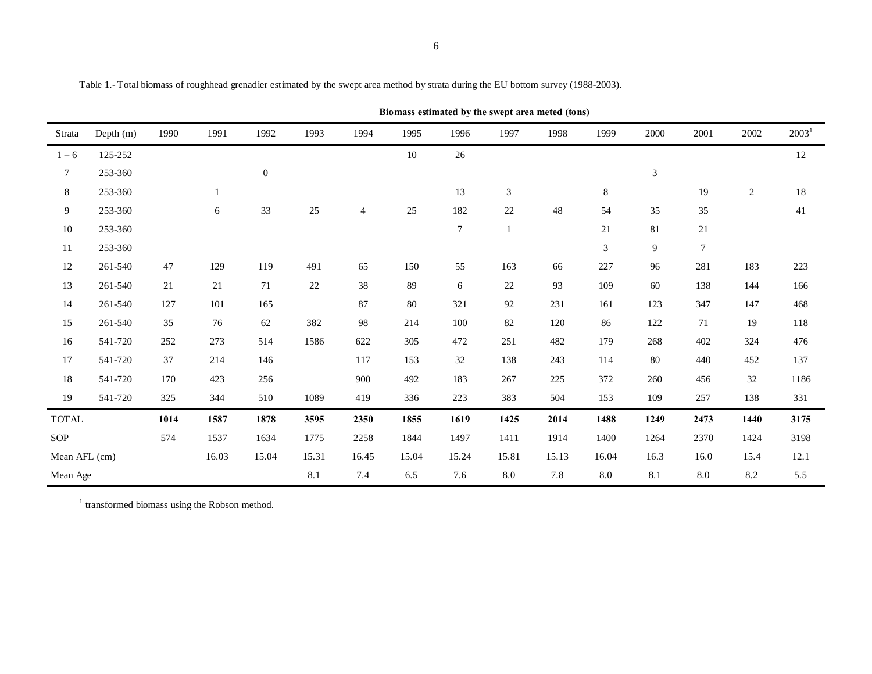|                  | Biomass estimated by the swept area meted (tons) |      |              |                  |       |                |        |        |                |       |         |                |        |            |          |
|------------------|--------------------------------------------------|------|--------------|------------------|-------|----------------|--------|--------|----------------|-------|---------|----------------|--------|------------|----------|
| Strata           | Depth $(m)$                                      | 1990 | 1991         | 1992             | 1993  | 1994           | 1995   | 1996   | 1997           | 1998  | 1999    | 2000           | 2001   | 2002       | $2003^1$ |
| $1 - 6$          | 125-252                                          |      |              |                  |       |                | $10\,$ | $26\,$ |                |       |         |                |        |            | 12       |
| $\boldsymbol{7}$ | 253-360                                          |      |              | $\boldsymbol{0}$ |       |                |        |        |                |       |         | $\sqrt{3}$     |        |            |          |
| $\,8\,$          | 253-360                                          |      | $\mathbf{1}$ |                  |       |                |        | 13     | $\mathfrak{Z}$ |       | $\,8\,$ |                | 19     | $\sqrt{2}$ | 18       |
| $\overline{9}$   | 253-360                                          |      | 6            | 33               | 25    | $\overline{4}$ | 25     | 182    | $22\,$         | 48    | 54      | 35             | 35     |            | 41       |
| $10\,$           | 253-360                                          |      |              |                  |       |                |        | $\tau$ | $\mathbf{1}$   |       | 21      | $81\,$         | 21     |            |          |
| 11               | 253-360                                          |      |              |                  |       |                |        |        |                |       | 3       | $\overline{9}$ | $\tau$ |            |          |
| $12\,$           | 261-540                                          | 47   | 129          | 119              | 491   | 65             | 150    | 55     | 163            | 66    | 227     | 96             | 281    | 183        | 223      |
| 13               | 261-540                                          | 21   | 21           | 71               | 22    | 38             | 89     | 6      | 22             | 93    | 109     | 60             | 138    | 144        | 166      |
| 14               | 261-540                                          | 127  | 101          | 165              |       | 87             | 80     | 321    | 92             | 231   | 161     | 123            | 347    | 147        | 468      |
| 15               | 261-540                                          | 35   | 76           | 62               | 382   | 98             | 214    | 100    | 82             | 120   | 86      | 122            | 71     | 19         | 118      |
| 16               | 541-720                                          | 252  | 273          | 514              | 1586  | 622            | 305    | 472    | 251            | 482   | 179     | 268            | 402    | 324        | 476      |
| 17               | 541-720                                          | 37   | 214          | 146              |       | 117            | 153    | $32\,$ | 138            | 243   | 114     | 80             | 440    | 452        | 137      |
| $18\,$           | 541-720                                          | 170  | 423          | 256              |       | 900            | 492    | 183    | 267            | 225   | 372     | 260            | 456    | 32         | 1186     |
| 19               | 541-720                                          | 325  | 344          | 510              | 1089  | 419            | 336    | 223    | 383            | 504   | 153     | 109            | 257    | 138        | 331      |
| <b>TOTAL</b>     |                                                  | 1014 | 1587         | 1878             | 3595  | 2350           | 1855   | 1619   | 1425           | 2014  | 1488    | 1249           | 2473   | 1440       | 3175     |
| SOP              |                                                  | 574  | 1537         | 1634             | 1775  | 2258           | 1844   | 1497   | 1411           | 1914  | 1400    | 1264           | 2370   | 1424       | 3198     |
| Mean AFL (cm)    |                                                  |      | 16.03        | 15.04            | 15.31 | 16.45          | 15.04  | 15.24  | 15.81          | 15.13 | 16.04   | 16.3           | 16.0   | 15.4       | 12.1     |
| Mean Age         |                                                  |      |              |                  | 8.1   | 7.4            | 6.5    | 7.6    | 8.0            | 7.8   | $8.0\,$ | 8.1            | 8.0    | 8.2        | 5.5      |

Table 1.- Total biomass of roughhead grenadier estimated by the swept area method by strata during the EU bottom survey (1988-2003).

<sup>1</sup> transformed biomass using the Robson method.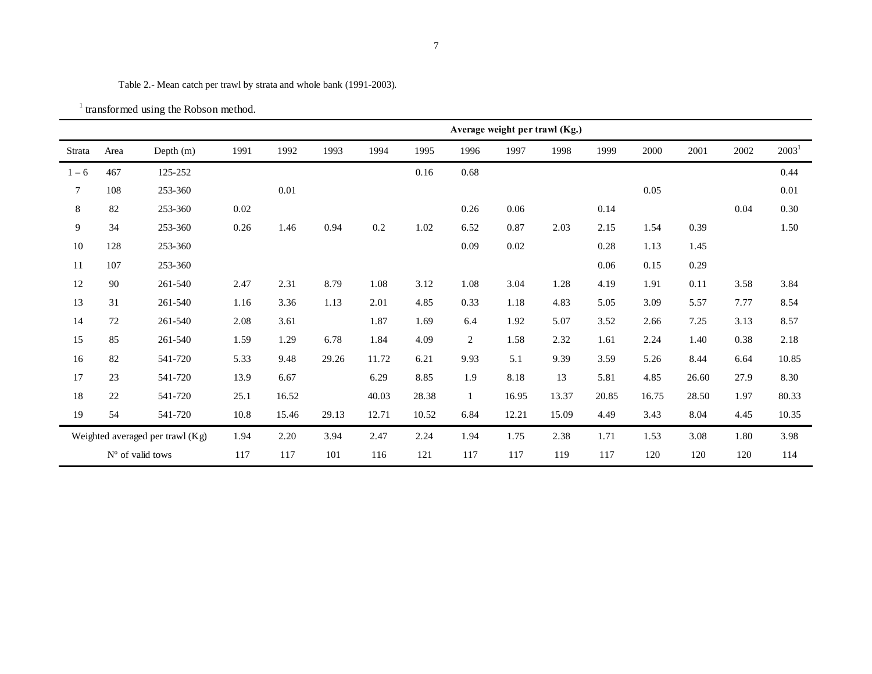Table 2.- Mean catch per trawl by strata and whole bank (1991-2003).

| <sup>1</sup> transformed using the Robson method. |  |
|---------------------------------------------------|--|
|---------------------------------------------------|--|

|         |      |                                  | Average weight per trawl (Kg.) |       |       |       |       |                |          |       |       |       |       |      |                   |
|---------|------|----------------------------------|--------------------------------|-------|-------|-------|-------|----------------|----------|-------|-------|-------|-------|------|-------------------|
| Strata  | Area | Depth (m)                        | 1991                           | 1992  | 1993  | 1994  | 1995  | 1996           | 1997     | 1998  | 1999  | 2000  | 2001  | 2002 | 2003 <sup>1</sup> |
| $1 - 6$ | 467  | 125-252                          |                                |       |       |       | 0.16  | 0.68           |          |       |       |       |       |      | 0.44              |
| $\tau$  | 108  | 253-360                          |                                | 0.01  |       |       |       |                |          |       |       | 0.05  |       |      | $0.01\,$          |
| 8       | 82   | 253-360                          | 0.02                           |       |       |       |       | 0.26           | $0.06\,$ |       | 0.14  |       |       | 0.04 | 0.30              |
| 9       | 34   | 253-360                          | 0.26                           | 1.46  | 0.94  | 0.2   | 1.02  | 6.52           | 0.87     | 2.03  | 2.15  | 1.54  | 0.39  |      | 1.50              |
| 10      | 128  | 253-360                          |                                |       |       |       |       | 0.09           | 0.02     |       | 0.28  | 1.13  | 1.45  |      |                   |
| 11      | 107  | 253-360                          |                                |       |       |       |       |                |          |       | 0.06  | 0.15  | 0.29  |      |                   |
| 12      | 90   | 261-540                          | 2.47                           | 2.31  | 8.79  | 1.08  | 3.12  | 1.08           | 3.04     | 1.28  | 4.19  | 1.91  | 0.11  | 3.58 | 3.84              |
| 13      | 31   | 261-540                          | 1.16                           | 3.36  | 1.13  | 2.01  | 4.85  | 0.33           | 1.18     | 4.83  | 5.05  | 3.09  | 5.57  | 7.77 | 8.54              |
| 14      | 72   | 261-540                          | 2.08                           | 3.61  |       | 1.87  | 1.69  | 6.4            | 1.92     | 5.07  | 3.52  | 2.66  | 7.25  | 3.13 | 8.57              |
| 15      | 85   | 261-540                          | 1.59                           | 1.29  | 6.78  | 1.84  | 4.09  | $\overline{c}$ | 1.58     | 2.32  | 1.61  | 2.24  | 1.40  | 0.38 | 2.18              |
| 16      | 82   | 541-720                          | 5.33                           | 9.48  | 29.26 | 11.72 | 6.21  | 9.93           | 5.1      | 9.39  | 3.59  | 5.26  | 8.44  | 6.64 | 10.85             |
| 17      | 23   | 541-720                          | 13.9                           | 6.67  |       | 6.29  | 8.85  | 1.9            | 8.18     | 13    | 5.81  | 4.85  | 26.60 | 27.9 | 8.30              |
| 18      | 22   | 541-720                          | 25.1                           | 16.52 |       | 40.03 | 28.38 | $\mathbf{1}$   | 16.95    | 13.37 | 20.85 | 16.75 | 28.50 | 1.97 | 80.33             |
| 19      | 54   | 541-720                          | 10.8                           | 15.46 | 29.13 | 12.71 | 10.52 | 6.84           | 12.21    | 15.09 | 4.49  | 3.43  | 8.04  | 4.45 | 10.35             |
|         |      | Weighted averaged per trawl (Kg) | 1.94                           | 2.20  | 3.94  | 2.47  | 2.24  | 1.94           | 1.75     | 2.38  | 1.71  | 1.53  | 3.08  | 1.80 | 3.98              |
|         |      | $No$ of valid tows               | 117                            | 117   | 101   | 116   | 121   | 117            | 117      | 119   | 117   | 120   | 120   | 120  | 114               |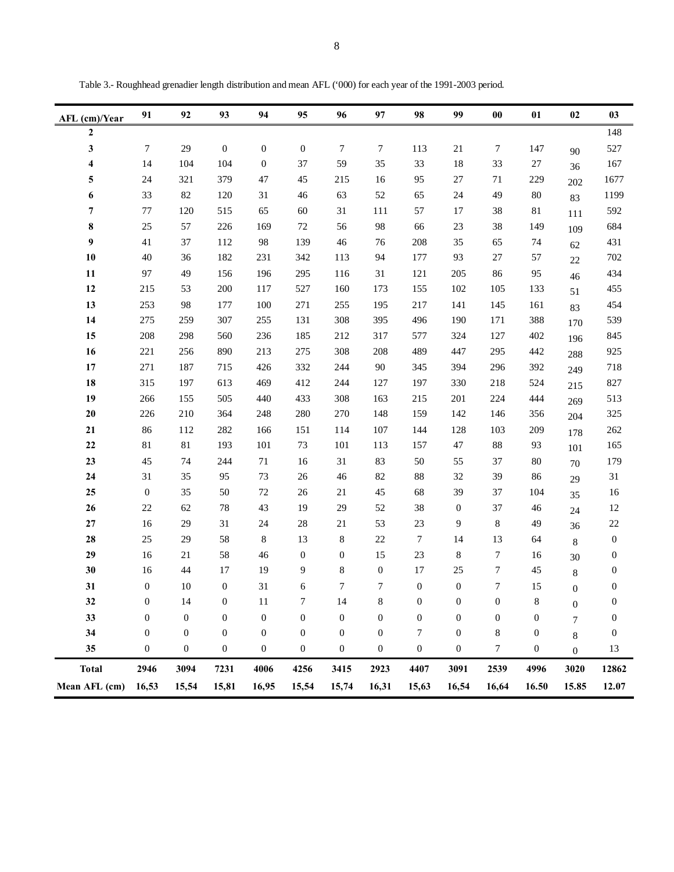| AFL (cm)/Year    | 91               | 92               | 93               | 94               | 95               | 96               | 97               | 98               | 99               | $\bf{00}$        | 01               | 02               | 03               |
|------------------|------------------|------------------|------------------|------------------|------------------|------------------|------------------|------------------|------------------|------------------|------------------|------------------|------------------|
| $\boldsymbol{2}$ |                  |                  |                  |                  |                  |                  |                  |                  |                  |                  |                  |                  | 148              |
| 3                | 7                | 29               | $\mathbf{0}$     | $\boldsymbol{0}$ | $\boldsymbol{0}$ | 7                | $\tau$           | 113              | $21\,$           | 7                | 147              | 90               | 527              |
| 4                | 14               | 104              | 104              | $\mathbf{0}$     | 37               | 59               | 35               | 33               | 18               | 33               | $27\,$           | 36               | 167              |
| 5                | 24               | 321              | 379              | 47               | 45               | 215              | 16               | 95               | $27\,$           | 71               | 229              | 202              | 1677             |
| 6                | 33               | 82               | 120              | 31               | 46               | 63               | 52               | 65               | 24               | 49               | 80               | 83               | 1199             |
| 7                | $77\,$           | 120              | 515              | 65               | 60               | 31               | 111              | 57               | 17               | 38               | $81\,$           | 111              | 592              |
| 8                | 25               | 57               | 226              | 169              | $72\,$           | 56               | 98               | 66               | 23               | 38               | 149              | 109              | 684              |
| 9                | 41               | 37               | 112              | 98               | 139              | 46               | 76               | 208              | 35               | 65               | 74               | 62               | 431              |
| 10               | 40               | 36               | 182              | 231              | 342              | 113              | 94               | 177              | 93               | 27               | 57               | 22               | 702              |
| 11               | 97               | 49               | 156              | 196              | 295              | 116              | 31               | 121              | 205              | 86               | 95               | 46               | 434              |
| 12               | 215              | 53               | 200              | 117              | 527              | 160              | 173              | 155              | 102              | 105              | 133              | 51               | 455              |
| 13               | 253              | 98               | 177              | 100              | 271              | 255              | 195              | 217              | 141              | 145              | 161              | 83               | 454              |
| 14               | 275              | 259              | 307              | 255              | 131              | 308              | 395              | 496              | 190              | 171              | 388              | 170              | 539              |
| 15               | 208              | 298              | 560              | 236              | 185              | 212              | 317              | 577              | 324              | 127              | 402              | 196              | 845              |
| 16               | 221              | 256              | 890              | 213              | 275              | 308              | 208              | 489              | 447              | 295              | 442              | 288              | 925              |
| 17               | 271              | 187              | 715              | 426              | 332              | 244              | $90\,$           | 345              | 394              | 296              | 392              | 249              | 718              |
| 18               | 315              | 197              | 613              | 469              | 412              | 244              | 127              | 197              | 330              | 218              | 524              | 215              | 827              |
| 19               | 266              | 155              | 505              | 440              | 433              | 308              | 163              | 215              | 201              | 224              | 444              | 269              | 513              |
| $20\,$           | 226              | 210              | 364              | 248              | 280              | 270              | 148              | 159              | 142              | 146              | 356              | 204              | 325              |
| 21               | 86               | 112              | 282              | 166              | 151              | 114              | 107              | 144              | 128              | 103              | 209              | 178              | 262              |
| 22               | $81\,$           | 81               | 193              | 101              | 73               | 101              | 113              | 157              | 47               | 88               | 93               | 101              | 165              |
| 23               | 45               | 74               | 244              | $71\,$           | 16               | 31               | 83               | 50               | 55               | 37               | 80               | 70               | 179              |
| 24               | 31               | 35               | 95               | 73               | 26               | 46               | $82\,$           | $88\,$           | 32               | 39               | 86               | 29               | 31               |
| 25               | $\boldsymbol{0}$ | 35               | 50               | 72               | 26               | 21               | 45               | 68               | 39               | 37               | 104              | 35               | 16               |
| 26               | 22               | 62               | 78               | 43               | 19               | 29               | 52               | 38               | $\boldsymbol{0}$ | 37               | 46               | 24               | 12               |
| $\bf 27$         | 16               | 29               | 31               | 24               | 28               | $21\,$           | 53               | $23\,$           | 9                | $\,8\,$          | 49               | 36               | $22\,$           |
| 28               | 25               | 29               | 58               | 8                | 13               | 8                | $22\,$           | 7                | 14               | 13               | 64               | $\,8\,$          | $\boldsymbol{0}$ |
| 29               | 16               | 21               | 58               | 46               | $\boldsymbol{0}$ | $\boldsymbol{0}$ | 15               | 23               | 8                | 7                | 16               | 30               | $\boldsymbol{0}$ |
| 30               | 16               | 44               | 17               | 19               | 9                | 8                | $\boldsymbol{0}$ | 17               | 25               | 7                | 45               | $\,8\,$          | $\boldsymbol{0}$ |
| 31               | $\boldsymbol{0}$ | 10               | $\boldsymbol{0}$ | 31               | 6                | 7                | 7                | $\boldsymbol{0}$ | $\boldsymbol{0}$ | 7                | 15               | $\overline{0}$   | $\boldsymbol{0}$ |
| 32               | $\boldsymbol{0}$ | 14               | $\boldsymbol{0}$ | 11               | 7                | 14               | $\,$ 8 $\,$      | $\boldsymbol{0}$ | $\boldsymbol{0}$ | $\boldsymbol{0}$ | 8                | $\boldsymbol{0}$ | $\boldsymbol{0}$ |
| 33               | $\boldsymbol{0}$ | $\boldsymbol{0}$ | $\boldsymbol{0}$ | $\boldsymbol{0}$ | $\boldsymbol{0}$ | $\boldsymbol{0}$ | $\boldsymbol{0}$ | $\boldsymbol{0}$ | $\boldsymbol{0}$ | $\boldsymbol{0}$ | $\boldsymbol{0}$ | $\overline{7}$   | $\boldsymbol{0}$ |
| 34               | $\boldsymbol{0}$ | $\boldsymbol{0}$ | $\mathbf{0}$     | $\boldsymbol{0}$ | $\boldsymbol{0}$ | $\boldsymbol{0}$ | $\boldsymbol{0}$ | 7                | $\boldsymbol{0}$ | 8                | $\boldsymbol{0}$ | 8                | $\boldsymbol{0}$ |
| 35               | $\boldsymbol{0}$ | $\boldsymbol{0}$ | $\boldsymbol{0}$ | $\boldsymbol{0}$ | $\boldsymbol{0}$ | $\boldsymbol{0}$ | $\boldsymbol{0}$ | $\boldsymbol{0}$ | $\boldsymbol{0}$ | 7                | $\boldsymbol{0}$ | $\boldsymbol{0}$ | 13               |
| <b>Total</b>     | 2946             | 3094             | 7231             | 4006             | 4256             | 3415             | 2923             | 4407             | 3091             | 2539             | 4996             | 3020             | 12862            |
| Mean AFL (cm)    | 16,53            | 15,54            | 15,81            | 16,95            | 15,54            | 15,74            | 16,31            | 15,63            | 16,54            | 16,64            | 16.50            | 15.85            | 12.07            |

Table 3.- Roughhead grenadier length distribution and mean AFL ('000) for each year of the 1991-2003 period.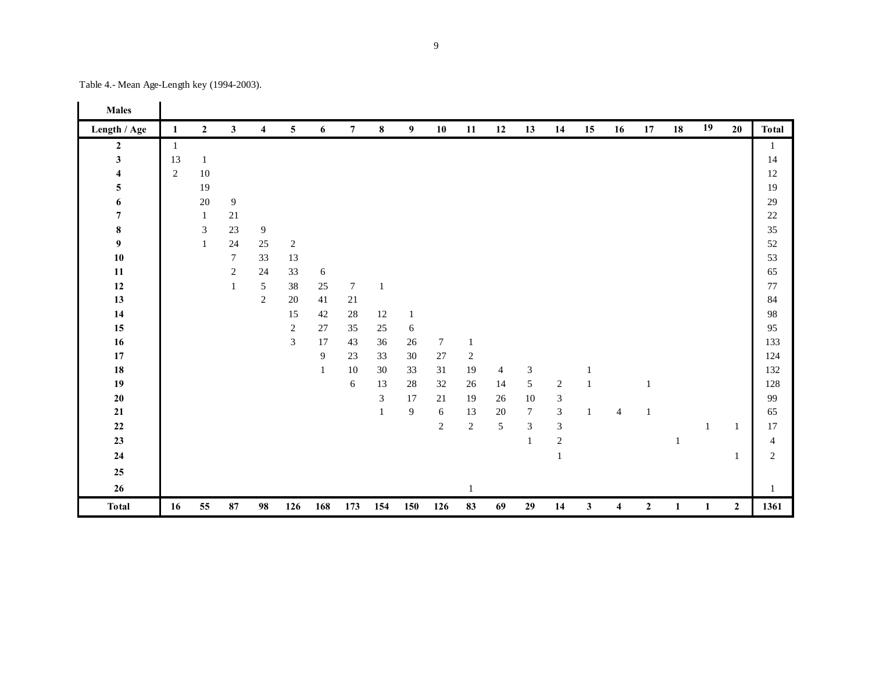| <b>Males</b>            |              |                  |                  |                  |                         |            |                  |                             |                |        |                  |                |                             |                |              |                |              |              |              |                  |                |
|-------------------------|--------------|------------------|------------------|------------------|-------------------------|------------|------------------|-----------------------------|----------------|--------|------------------|----------------|-----------------------------|----------------|--------------|----------------|--------------|--------------|--------------|------------------|----------------|
| Length / Age            | 1            | $\boldsymbol{2}$ | $\mathbf{3}$     | $\boldsymbol{4}$ | $\overline{\mathbf{5}}$ | 6          | $7\overline{ }$  | $\bf8$                      | 9 <sub>o</sub> | 10     | 11               | 12             | 13                          | 14             | 15           | 16             | 17           | 18           | 19           | 20               | <b>Total</b>   |
| $\boldsymbol{2}$        | $\mathbf{1}$ |                  |                  |                  |                         |            |                  |                             |                |        |                  |                |                             |                |              |                |              |              |              |                  | 1              |
| $\mathbf{3}$            | 13           | $\mathbf{1}$     |                  |                  |                         |            |                  |                             |                |        |                  |                |                             |                |              |                |              |              |              |                  | 14             |
| $\overline{\mathbf{4}}$ | $\sqrt{2}$   | 10               |                  |                  |                         |            |                  |                             |                |        |                  |                |                             |                |              |                |              |              |              |                  | 12             |
| 5                       |              | 19               |                  |                  |                         |            |                  |                             |                |        |                  |                |                             |                |              |                |              |              |              |                  | 19             |
| 6                       |              | $20\,$           | $\boldsymbol{9}$ |                  |                         |            |                  |                             |                |        |                  |                |                             |                |              |                |              |              |              |                  | 29             |
| $\boldsymbol{7}$        |              | 1                | $21\,$           |                  |                         |            |                  |                             |                |        |                  |                |                             |                |              |                |              |              |              |                  | $22\,$         |
| $\bf 8$                 |              | $\mathfrak{Z}$   | 23               | $\boldsymbol{9}$ |                         |            |                  |                             |                |        |                  |                |                             |                |              |                |              |              |              |                  | 35             |
| 9                       |              | $\mathbf{1}$     | 24               | 25               | $\sqrt{2}$              |            |                  |                             |                |        |                  |                |                             |                |              |                |              |              |              |                  | 52             |
| $10$                    |              |                  | $\boldsymbol{7}$ | 33               | 13                      |            |                  |                             |                |        |                  |                |                             |                |              |                |              |              |              |                  | 53             |
| ${\bf 11}$              |              |                  | $\sqrt{2}$       | 24               | 33                      | $\sqrt{6}$ |                  |                             |                |        |                  |                |                             |                |              |                |              |              |              |                  | 65             |
| $12\,$                  |              |                  | $\mathbf{1}$     | $\sqrt{5}$       | 38                      | $25\,$     | $\tau$           | $\mathbf{1}$                |                |        |                  |                |                             |                |              |                |              |              |              |                  | 77             |
| 13                      |              |                  |                  | $\mathbf{2}$     | 20                      | 41         | $21\,$           |                             |                |        |                  |                |                             |                |              |                |              |              |              |                  | 84             |
| 14                      |              |                  |                  |                  | 15                      | 42         | $28\,$           | 12                          | $\mathbf{1}$   |        |                  |                |                             |                |              |                |              |              |              |                  | 98             |
| 15                      |              |                  |                  |                  | $\sqrt{2}$              | 27         | 35               | $25\,$                      | 6              |        |                  |                |                             |                |              |                |              |              |              |                  | 95             |
| 16                      |              |                  |                  |                  | 3                       | 17         | 43               | 36                          | 26             | $\tau$ | $\mathbf{1}$     |                |                             |                |              |                |              |              |              |                  | 133            |
| 17                      |              |                  |                  |                  |                         | 9          | 23               | 33                          | 30             | 27     | $\boldsymbol{2}$ |                |                             |                |              |                |              |              |              |                  | 124            |
| 18                      |              |                  |                  |                  |                         | 1          | 10               | 30                          | 33             | 31     | 19               | $\overline{4}$ | $\ensuremath{\mathfrak{Z}}$ |                | 1            |                |              |              |              |                  | 132            |
| 19                      |              |                  |                  |                  |                         |            | $\boldsymbol{6}$ | 13                          | 28             | 32     | 26               | 14             | 5                           | $\sqrt{2}$     | $\mathbf{1}$ |                | -1           |              |              |                  | 128            |
| ${\bf 20}$              |              |                  |                  |                  |                         |            |                  | $\boldsymbol{\mathfrak{Z}}$ | 17             | 21     | 19               | 26             | $10\,$                      | $\sqrt{3}$     |              |                |              |              |              |                  | 99             |
| $\bf{21}$               |              |                  |                  |                  |                         |            |                  | 1                           | 9              | 6      | 13               | $20\,$         | $\boldsymbol{7}$            | $\overline{3}$ | $\mathbf{1}$ | $\overline{4}$ | 1            |              |              |                  | 65             |
| $\bf 22$                |              |                  |                  |                  |                         |            |                  |                             |                | 2      | $\mathbf{2}$     | $\sqrt{5}$     | 3                           | $\sqrt{3}$     |              |                |              |              | $\mathbf{1}$ | $\mathbf{1}$     | 17             |
| $23\,$                  |              |                  |                  |                  |                         |            |                  |                             |                |        |                  |                | 1                           | $\sqrt{2}$     |              |                |              | $\mathbf{1}$ |              |                  | $\overline{4}$ |
| ${\bf 24}$              |              |                  |                  |                  |                         |            |                  |                             |                |        |                  |                |                             | $\mathbf{1}$   |              |                |              |              |              | 1                | $\overline{c}$ |
| 25                      |              |                  |                  |                  |                         |            |                  |                             |                |        |                  |                |                             |                |              |                |              |              |              |                  |                |
| $26\phantom{.}$         |              |                  |                  |                  |                         |            |                  |                             |                |        | 1                |                |                             |                |              |                |              |              |              |                  | 1              |
| <b>Total</b>            | 16           | 55               | 87               | 98               | 126                     | 168        | 173              | 154                         | 150            | 126    | 83               | 69             | 29                          | 14             | $\mathbf{3}$ | 4              | $\mathbf{2}$ | 1            | $\mathbf{1}$ | $\boldsymbol{2}$ | 1361           |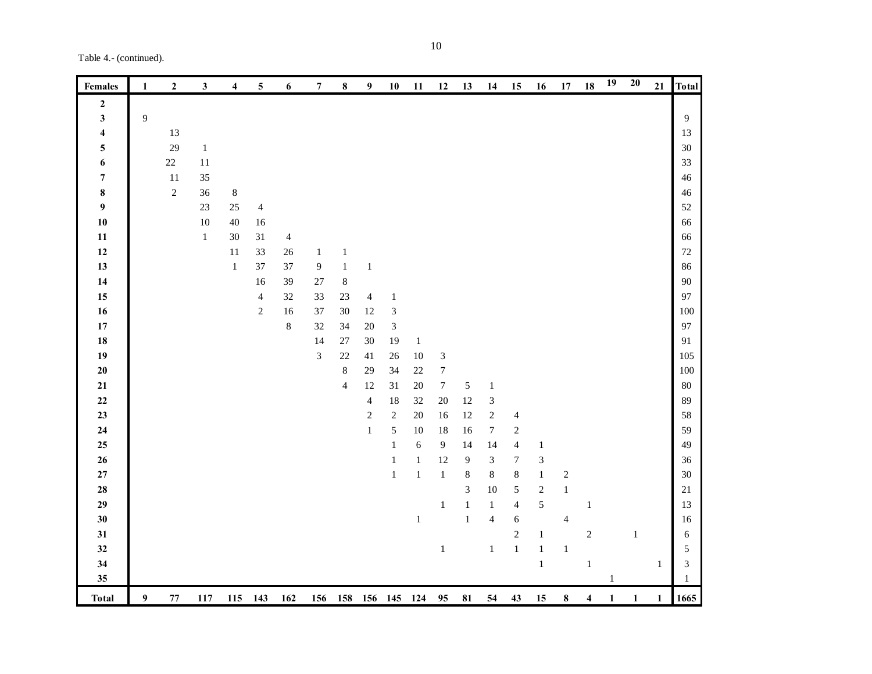Table 4.- (continued).

| <b>Females</b>          | 1 | $\boldsymbol{2}$ | 3       | 4      | $\mathbf 5$    | 6              | 7              | ${\bf 8}$      | $\boldsymbol{9}$ | ${\bf 10}$                  | 11           | 12                          | 13           | 14                      | 15               | 16                          | $17\,$                  | 18                      | 19           | $20\,$       | 21           | <b>Total</b> |
|-------------------------|---|------------------|---------|--------|----------------|----------------|----------------|----------------|------------------|-----------------------------|--------------|-----------------------------|--------------|-------------------------|------------------|-----------------------------|-------------------------|-------------------------|--------------|--------------|--------------|--------------|
| $\boldsymbol{2}$        |   |                  |         |        |                |                |                |                |                  |                             |              |                             |              |                         |                  |                             |                         |                         |              |              |              |              |
| $\mathbf{3}$            | 9 |                  |         |        |                |                |                |                |                  |                             |              |                             |              |                         |                  |                             |                         |                         |              |              |              | 9            |
| $\overline{\mathbf{4}}$ |   | 13               |         |        |                |                |                |                |                  |                             |              |                             |              |                         |                  |                             |                         |                         |              |              |              | 13           |
| 5                       |   | 29               | $\,1\,$ |        |                |                |                |                |                  |                             |              |                             |              |                         |                  |                             |                         |                         |              |              |              | 30           |
| $\boldsymbol{6}$        |   | $22\,$           | 11      |        |                |                |                |                |                  |                             |              |                             |              |                         |                  |                             |                         |                         |              |              |              | 33           |
| $\boldsymbol{7}$        |   | 11               | 35      |        |                |                |                |                |                  |                             |              |                             |              |                         |                  |                             |                         |                         |              |              |              | 46           |
| $\pmb{8}$               |   | $\sqrt{2}$       | 36      | $8\,$  |                |                |                |                |                  |                             |              |                             |              |                         |                  |                             |                         |                         |              |              |              | 46           |
| $\boldsymbol{9}$        |   |                  | $23\,$  | $25\,$ | $\overline{4}$ |                |                |                |                  |                             |              |                             |              |                         |                  |                             |                         |                         |              |              |              | 52           |
| ${\bf 10}$              |   |                  | $10\,$  | $40\,$ | 16             |                |                |                |                  |                             |              |                             |              |                         |                  |                             |                         |                         |              |              |              | 66           |
| 11                      |   |                  | $\,1\,$ | $30\,$ | $31\,$         | $\overline{4}$ |                |                |                  |                             |              |                             |              |                         |                  |                             |                         |                         |              |              |              | 66           |
| $12\,$                  |   |                  |         | $11\,$ | 33             | $26\,$         | $\mathbf{1}$   | $\mathbf{1}$   |                  |                             |              |                             |              |                         |                  |                             |                         |                         |              |              |              | $72\,$       |
| $13\,$                  |   |                  |         | $\,1$  | 37             | 37             | $\mathbf{9}$   | $\,1\,$        | $\,1\,$          |                             |              |                             |              |                         |                  |                             |                         |                         |              |              |              | 86           |
| 14                      |   |                  |         |        | 16             | 39             | 27             | $\,8\,$        |                  |                             |              |                             |              |                         |                  |                             |                         |                         |              |              |              | 90           |
| 15                      |   |                  |         |        | $\overline{4}$ | $32\,$         | 33             | $23\,$         | $\overline{4}$   | $\mathbf{1}$                |              |                             |              |                         |                  |                             |                         |                         |              |              |              | 97           |
| 16                      |   |                  |         |        | $\sqrt{2}$     | 16             | 37             | $30\,$         | 12               | $\ensuremath{\mathfrak{Z}}$ |              |                             |              |                         |                  |                             |                         |                         |              |              |              | 100          |
| ${\bf 17}$              |   |                  |         |        |                | $8\,$          | 32             | 34             | $20\,$           | $\mathfrak{Z}$              |              |                             |              |                         |                  |                             |                         |                         |              |              |              | 97           |
| ${\bf 18}$              |   |                  |         |        |                |                | 14             | $27\,$         | $30\,$           | 19                          | $\mathbf{1}$ |                             |              |                         |                  |                             |                         |                         |              |              |              | 91           |
| 19                      |   |                  |         |        |                |                | $\mathfrak{Z}$ | 22             | 41               | 26                          | $10\,$       | $\ensuremath{\mathfrak{Z}}$ |              |                         |                  |                             |                         |                         |              |              |              | 105          |
| ${\bf 20}$              |   |                  |         |        |                |                |                | $\,8\,$        | 29               | 34                          | $22\,$       | $\boldsymbol{7}$            |              |                         |                  |                             |                         |                         |              |              |              | 100          |
| 21                      |   |                  |         |        |                |                |                | $\overline{4}$ | 12               | $31\,$                      | $20\,$       | $\boldsymbol{7}$            | $\sqrt{5}$   | $\mathbf{1}$            |                  |                             |                         |                         |              |              |              | 80           |
| $\bf{22}$               |   |                  |         |        |                |                |                |                | $\overline{4}$   | 18                          | 32           | $20\,$                      | 12           | $\mathfrak{Z}$          |                  |                             |                         |                         |              |              |              | 89           |
| 23                      |   |                  |         |        |                |                |                |                | $\sqrt{2}$       | $\sqrt{2}$                  | $20\,$       | 16                          | 12           | $\sqrt{2}$              | $\overline{4}$   |                             |                         |                         |              |              |              | 58           |
| 24                      |   |                  |         |        |                |                |                |                | $\mathbf{1}$     | $\sqrt{5}$                  | $10\,$       | 18                          | 16           | $\boldsymbol{7}$        | $\sqrt{2}$       |                             |                         |                         |              |              |              | 59           |
| ${\bf 25}$              |   |                  |         |        |                |                |                |                |                  | $\mathbf{1}$                | 6            | $\boldsymbol{9}$            | 14           | 14                      | $\overline{4}$   | $\,1\,$                     |                         |                         |              |              |              | 49           |
| $26\phantom{.}$         |   |                  |         |        |                |                |                |                |                  | $\mathbf{1}$                | $\mathbf{1}$ | $12\,$                      | 9            | 3                       | $\boldsymbol{7}$ | $\ensuremath{\mathfrak{Z}}$ |                         |                         |              |              |              | 36           |
| $\bf 27$                |   |                  |         |        |                |                |                |                |                  | $\mathbf{1}$                | $\mathbf 1$  | $\,1\,$                     | $\,8\,$      | $\,8\,$                 | $\,8\,$          | $\,1\,$                     | $\overline{\mathbf{c}}$ |                         |              |              |              | 30           |
| ${\bf 28}$              |   |                  |         |        |                |                |                |                |                  |                             |              |                             | $\sqrt{3}$   | $10\,$                  | $\sqrt{5}$       | $\sqrt{2}$                  | $\mathbf{1}$            |                         |              |              |              | $21\,$       |
| 29                      |   |                  |         |        |                |                |                |                |                  |                             |              | $\mathbf{1}$                | $\mathbf{1}$ | $\mathbf{1}$            | $\overline{4}$   | 5                           |                         | $\mathbf{1}$            |              |              |              | 13           |
| 30                      |   |                  |         |        |                |                |                |                |                  |                             | $\,1$        |                             | $\,1\,$      | $\overline{\mathbf{4}}$ | $\sqrt{6}$       |                             | $\overline{4}$          |                         |              |              |              | 16           |
| 31                      |   |                  |         |        |                |                |                |                |                  |                             |              |                             |              |                         | $\overline{c}$   | $\mathbf{1}$                |                         | $\sqrt{2}$              |              | $\mathbf{1}$ |              | 6            |
| 32                      |   |                  |         |        |                |                |                |                |                  |                             |              | $\mathbf 1$                 |              | $\,1$                   | $\mathbf 1$      | $\,1\,$                     | $\,1\,$                 |                         |              |              |              | 5            |
| 34                      |   |                  |         |        |                |                |                |                |                  |                             |              |                             |              |                         |                  | $\,1\,$                     |                         | $\,1\,$                 |              |              | 1            | 3            |
| $35\,$                  |   |                  |         |        |                |                |                |                |                  |                             |              |                             |              |                         |                  |                             |                         |                         | $\mathbf{1}$ |              |              | $\mathbf{1}$ |
| <b>Total</b>            | 9 | ${\bf 77}$       | 117     | 115    | 143            | 162            | 156            |                | 158 156 145 124  |                             |              | 95                          | 81           | 54                      | 43               | 15                          | 8                       | $\overline{\mathbf{4}}$ | $\mathbf{1}$ | 1            | $\mathbf{1}$ | 1665         |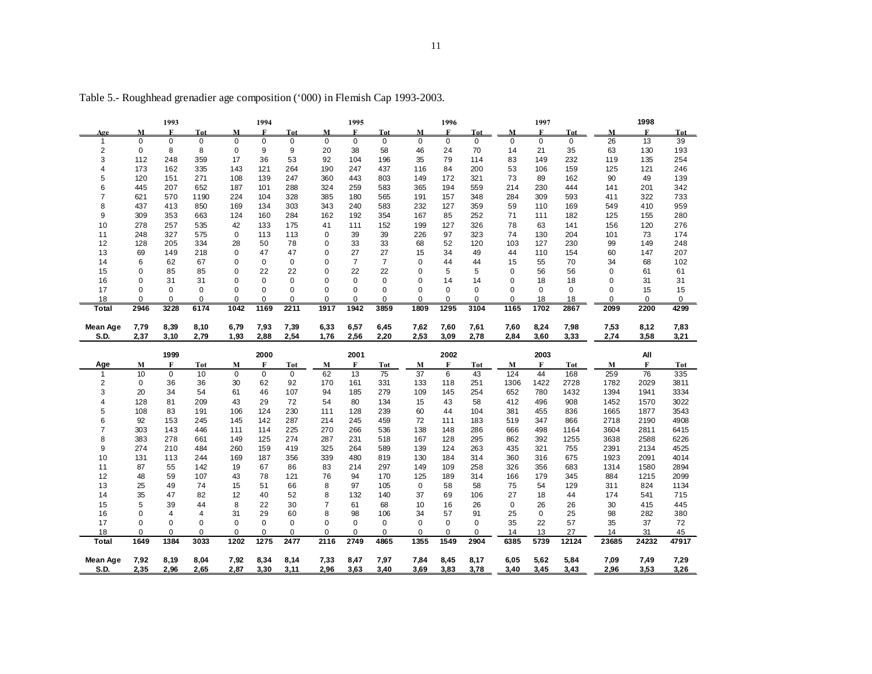|              |           | 1993                |             |             | 1994        |             |                  | 1995           |                  |                 | 1996                |                     |               | 1997        |             |               | 1998      |           |
|--------------|-----------|---------------------|-------------|-------------|-------------|-------------|------------------|----------------|------------------|-----------------|---------------------|---------------------|---------------|-------------|-------------|---------------|-----------|-----------|
| Age          | M         | F                   | <b>Tot</b>  | M           | F           | Tot         | M                | F              | <b>Tot</b>       | M               | F                   | <b>Tot</b>          | M             | F           | Tot         | М             | F         | Tot       |
| $\mathbf{1}$ | $\Omega$  | $\mathbf 0$         | $\mathbf 0$ | $\Omega$    | $\mathbf 0$ | $\mathbf 0$ | 0                | $\mathbf 0$    | 0                | $\Omega$        | $\mathbf 0$         | $\mathbf 0$         | $\mathbf 0$   | $\mathbf 0$ | $\mathbf 0$ | 26            | 13        | 39        |
| 2            | 0         | 8                   | 8           | 0           | 9           | 9           | 20               | 38             | 58               | 46              | 24                  | 70                  | 14            | 21          | 35          | 63            | 130       | 193       |
| 3            | 112       | 248                 | 359         | 17          | 36          | 53          | 92               | 104            | 196              | 35              | 79                  | 114                 | 83            | 149         | 232         | 119           | 135       | 254       |
| 4            | 173       | 162                 | 335         | 143         | 121         | 264         | 190              | 247            | 437              | 116             | 84                  | 200                 | 53            | 106         | 159         | 125           | 121       | 246       |
| 5            | 120       | 151                 | 271         | 108         | 139         | 247         | 360              | 443            | 803              | 149             | 172                 | 321                 | 73            | 89          | 162         | 90            | 49        | 139       |
| 6            | 445       | 207                 | 652         | 187         | 101         | 288         | 324              | 259            | 583              | 365             | 194                 | 559                 | 214           | 230         | 444         | 141           | 201       | 342       |
| 7            | 621       | 570                 | 1190        | 224         | 104         | 328         | 385              | 180            | 565              | 191             | 157                 | 348                 | 284           | 309         | 593         | 411           | 322       | 733       |
| 8            | 437       | 413                 | 850         | 169         | 134         | 303         | 343              | 240            | 583              | 232             | 127                 | 359                 | 59            | 110         | 169         | 549           | 410       | 959       |
| 9            | 309       | 353                 | 663         | 124         | 160         | 284         | 162              | 192            | 354              | 167             | 85                  | 252                 | 71            | 111         | 182         | 125           | 155       | 280       |
| 10           | 278       | 257                 | 535         | 42          | 133         | 175         | 41               | 111            | 152              | 199             | 127                 | 326                 | 78            | 63          | 141         | 156           | 120       | 276       |
| 11           | 248       | 327                 | 575         | 0           | 113         | 113         | 0                | 39             | 39               | 226             | 97                  | 323                 | 74            | 130         | 204         | 101           | 73        | 174       |
| 12           | 128       | 205                 | 334         | 28          | 50          | 78          | 0                | 33             | 33               | 68              | 52                  | 120                 | 103           | 127         | 230         | 99            | 149       | 248       |
| 13           | 69        | 149                 | 218         | 0           | 47          | 47          | 0                | 27             | 27               | 15              | 34                  | 49                  | 44            | 110         | 154         | 60            | 147       | 207       |
| 14           | 6         | 62                  | 67          | 0           | 0           | 0           | 0                | $\overline{7}$ | $\overline{7}$   | 0               | 44                  | 44                  | 15            | 55          | 70          | 34            | 68        | 102       |
| 15           | 0         | 85                  | 85          | 0           | 22          | 22          | 0                | 22             | 22               | 0               | 5                   | 5                   | 0             | 56          | 56          | 0             | 61        | 61        |
| 16           | $\Omega$  | 31                  | 31          | $\Omega$    | 0           | $\mathbf 0$ | $\Omega$         | $\Omega$       | $\Omega$         | $\Omega$        | 14                  | 14                  | 0             | 18          | 18          | 0             | 31        | 31        |
| 17           | 0         | $\mathbf 0$         | 0           | $\Omega$    | 0           | 0           | 0                | 0              | 0                | $\Omega$        | $\mathbf 0$         | 0                   | 0<br>$\Omega$ | 0           | $\mathbf 0$ | 0<br>$\Omega$ | 15        | 15        |
| 18<br>Total  | 0<br>2946 | $\mathbf 0$<br>3228 | 0<br>6174   | 0<br>1042   | 0<br>1169   | 0<br>2211   | $\Omega$<br>1917 | 0<br>1942      | $\Omega$<br>3859 | 0<br>1809       | $\mathbf 0$<br>1295 | $\mathbf 0$<br>3104 | 1165          | 18<br>1702  | 18<br>2867  | 2099          | 0<br>2200 | 0<br>4299 |
|              |           |                     |             |             |             |             |                  |                |                  |                 |                     |                     |               |             |             |               |           |           |
| Mean Age     | 7,79      | 8,39                | 8,10        | 6,79        | 7,93        | 7,39        | 6,33             | 6,57           | 6,45             | 7,62            | 7,60                | 7,61                | 7,60          | 8,24        | 7,98        | 7,53          | 8,12      | 7,83      |
| S.D.         | 2,37      | 3,10                | 2,79        | 1,93        | 2,88        | 2,54        | 1,76             | 2,56           | 2,20             | 2,53            | 3,09                | 2,78                | 2,84          | 3,60        | 3,33        | 2,74          | 3,58      | 3,21      |
|              |           |                     |             |             |             |             |                  |                |                  |                 |                     |                     |               |             |             |               |           |           |
|              |           |                     |             |             |             |             |                  |                |                  |                 |                     |                     |               |             |             |               |           |           |
|              |           | 1999                |             |             | 2000        |             |                  | 2001           |                  |                 | 2002                |                     |               | 2003        |             |               | All       |           |
| Age          | M         | F                   | <b>Tot</b>  | M           | F           | <b>Tot</b>  | M                | F              | Tot              | М               | F                   | Tot                 | M             | F           | <b>Tot</b>  | M             | F         | Tot       |
| 1            | 10        | $\mathbf 0$         | 10          | 0           | $\mathbf 0$ | $\mathbf 0$ | 62               | 13             | 75               | $\overline{37}$ | 6                   | 43                  | 124           | 44          | 168         | 259           | 76        | 335       |
| 2            | 0         | 36                  | 36          | 30          | 62          | 92          | 170              | 161            | 331              | 133             | 118                 | 251                 | 1306          | 1422        | 2728        | 1782          | 2029      | 3811      |
| 3            | 20        | 34                  | 54          | 61          | 46          | 107         | 94               | 185            | 279              | 109             | 145                 | 254                 | 652           | 780         | 1432        | 1394          | 1941      | 3334      |
| 4            | 128       | 81                  | 209         | 43          | 29          | 72          | 54               | 80             | 134              | 15              | 43                  | 58                  | 412           | 496         | 908         | 1452          | 1570      | 3022      |
| 5            | 108       | 83                  | 191         | 106         | 124         | 230         | 111              | 128            | 239              | 60              | 44                  | 104                 | 381           | 455         | 836         | 1665          | 1877      | 3543      |
| 6            | 92        | 153                 | 245         | 145         | 142         | 287         | 214              | 245            | 459              | 72              | 111                 | 183                 | 519           | 347         | 866         | 2718          | 2190      | 4908      |
| 7            | 303       | 143                 | 446         | 111         | 114         | 225         | 270              | 266            | 536              | 138             | 148                 | 286                 | 666           | 498         | 1164        | 3604          | 2811      | 6415      |
| 8            | 383       | 278                 | 661         | 149         | 125         | 274         | 287              | 231            | 518              | 167             | 128                 | 295                 | 862           | 392         | 1255        | 3638          | 2588      | 6226      |
| 9            | 274       | 210                 | 484         | 260         | 159         | 419         | 325              | 264            | 589              | 139             | 124                 | 263                 | 435           | 321         | 755         | 2391          | 2134      | 4525      |
| 10           | 131       | 113                 | 244         | 169         | 187         | 356         | 339              | 480            | 819              | 130             | 184                 | 314                 | 360           | 316         | 675         | 1923          | 2091      | 4014      |
| 11           | 87        | 55                  | 142         | 19          | 67          | 86          | 83               | 214            | 297              | 149             | 109                 | 258                 | 326           | 356         | 683         | 1314          | 1580      | 2894      |
| 12           | 48        | 59                  | 107         | 43          | 78          | 121         | 76               | 94             | 170              | 125             | 189                 | 314                 | 166           | 179         | 345         | 884           | 1215      | 2099      |
| 13           | 25        | 49                  | 74          | 15          | 51          | 66          | 8                | 97             | 105              | $\mathbf 0$     | 58                  | 58                  | 75            | 54          | 129         | 311           | 824       | 1134      |
| 14           | 35        | 47                  | 82          | 12          | 40          | 52          | 8                | 132            | 140              | 37              | 69                  | 106                 | 27            | 18          | 44          | 174           | 541       | 715       |
| 15           | 5         | 39                  | 44          | 8           | 22          | 30          | 7                | 61             | 68               | 10              | 16                  | 26                  | 0             | 26          | 26          | 30            | 415       | 445       |
| 16           | 0         | $\overline{4}$      | 4           | 31          | 29          | 60          | 8                | 98             | 106              | 34              | 57                  | 91                  | 25            | 0           | 25          | 98            | 282       | 380       |
| 17           | 0         | 0                   | $\mathbf 0$ | 0           | 0           | $\mathbf 0$ | 0                | 0              | 0                | $\mathbf 0$     | 0                   | $\mathbf 0$         | 35            | 22          | 57          | 35            | 37        | 72        |
| 18           | $\Omega$  | $\mathbf 0$         | $\mathbf 0$ | $\mathbf 0$ | $\mathbf 0$ | $\mathbf 0$ | $\Omega$         | 0              | 0                | $\mathbf 0$     | $\mathbf 0$         | $\mathbf 0$         | 14            | 13          | 27          | 14            | 31        | 45        |
| Total        | 1649      | 1384                | 3033        | 1202        | 1275        | 2477        | 2116             | 2749           | 4865             | 1355            | 1549                | 2904                | 6385          | 5739        | 12124       | 23685         | 24232     | 47917     |
| Mean Age     | 7,92      | 8,19                | 8,04        | 7,92        | 8,34        | 8,14        | 7,33             | 8,47           | 7,97             | 7,84            | 8,45                | 8,17                | 6,05          | 5,62        | 5,84        | 7,09          | 7,49      | 7,29      |

Table 5.- Roughhead grenadier age composition ('000) in Flemish Cap 1993-2003.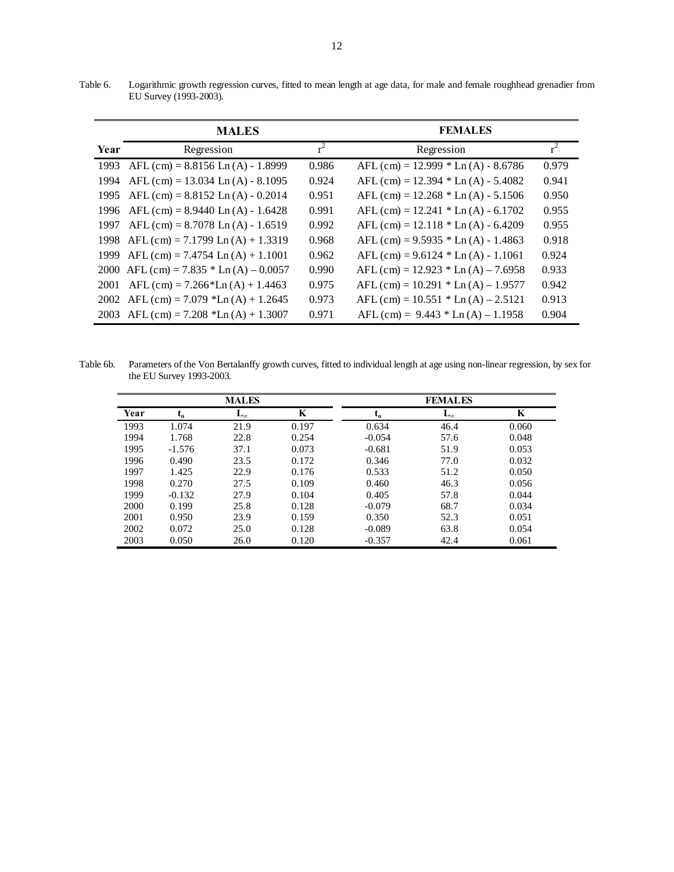Table 6. Logarithmic growth regression curves, fitted to mean length at age data, for male and female roughhead grenadier from EU Survey (1993-2003).

|      | <b>MALES</b>                               |       | <b>FEMALES</b>                          |       |
|------|--------------------------------------------|-------|-----------------------------------------|-------|
| Year | Regression                                 | $r^2$ | Regression                              | $r^2$ |
| 1993 | $AFL$ (cm) = 8.8156 Ln (A) - 1.8999        | 0.986 | $AFL$ (cm) = 12.999 $*$ Ln (A) - 8.6786 | 0.979 |
| 1994 | $AFL$ (cm) = 13.034 Ln (A) - 8.1095        | 0.924 | $AFL$ (cm) = 12.394 $*$ Ln (A) - 5.4082 | 0.941 |
| 1995 | $AFL$ (cm) = 8.8152 Ln (A) - 0.2014        | 0.951 | $AFL$ (cm) = 12.268 $*$ Ln (A) - 5.1506 | 0.950 |
| 1996 | $AFL$ (cm) = 8.9440 Ln (A) - 1.6428        | 0.991 | $AFL$ (cm) = 12.241 $*$ Ln (A) - 6.1702 | 0.955 |
| 1997 | $AFL$ (cm) = 8.7078 Ln (A) - 1.6519        | 0.992 | $AFL$ (cm) = 12.118 $*$ Ln (A) - 6.4209 | 0.955 |
| 1998 | $AFL (cm) = 7.1799$ Ln $(A) + 1.3319$      | 0.968 | $AFL$ (cm) = 9.5935 $*$ Ln (A) - 1.4863 | 0.918 |
| 1999 | $AFL$ (cm) = 7.4754 Ln (A) + 1.1001        | 0.962 | $AFL$ (cm) = 9.6124 $*$ Ln (A) - 1.1061 | 0.924 |
|      | 2000 AFL (cm) = 7.835 $*$ Ln (A) – 0.0057  | 0.990 | AFL (cm) = $12.923 * Ln(A) - 7.6958$    | 0.933 |
| 2001 | $AFL$ (cm) = 7.266*Ln (A) + 1.4463         | 0.975 | AFL $(cm) = 10.291 * Ln (A) – 1.9577$   | 0.942 |
| 2002 | AFL $(cm) = 7.079$ *Ln $(A) + 1.2645$      | 0.973 | $AFL$ (cm) = 10.551 $*$ Ln (A) – 2.5121 | 0.913 |
|      | 2003 AFL $(cm) = 7.208$ *Ln $(A) + 1.3007$ | 0.971 | AFL $(cm) = 9.443 * Ln (A) – 1.1958$    | 0.904 |

Table 6b. Parameters of the Von Bertalanffy growth curves, fitted to individual length at age using non-linear regression, by sex for the EU Survey 1993-2003.

|      |          | <b>MALES</b> |       |          | <b>FEMALES</b> |       |
|------|----------|--------------|-------|----------|----------------|-------|
| Year | $t_{o}$  | $L_{\infty}$ | K     | $t_{o}$  | $L_{\infty}$   | K     |
| 1993 | 1.074    | 21.9         | 0.197 | 0.634    | 46.4           | 0.060 |
| 1994 | 1.768    | 22.8         | 0.254 | $-0.054$ | 57.6           | 0.048 |
| 1995 | $-1.576$ | 37.1         | 0.073 | $-0.681$ | 51.9           | 0.053 |
| 1996 | 0.490    | 23.5         | 0.172 | 0.346    | 77.0           | 0.032 |
| 1997 | 1.425    | 22.9         | 0.176 | 0.533    | 51.2           | 0.050 |
| 1998 | 0.270    | 27.5         | 0.109 | 0.460    | 46.3           | 0.056 |
| 1999 | $-0.132$ | 27.9         | 0.104 | 0.405    | 57.8           | 0.044 |
| 2000 | 0.199    | 25.8         | 0.128 | $-0.079$ | 68.7           | 0.034 |
| 2001 | 0.950    | 23.9         | 0.159 | 0.350    | 52.3           | 0.051 |
| 2002 | 0.072    | 25.0         | 0.128 | $-0.089$ | 63.8           | 0.054 |
| 2003 | 0.050    | 26.0         | 0.120 | $-0.357$ | 42.4           | 0.061 |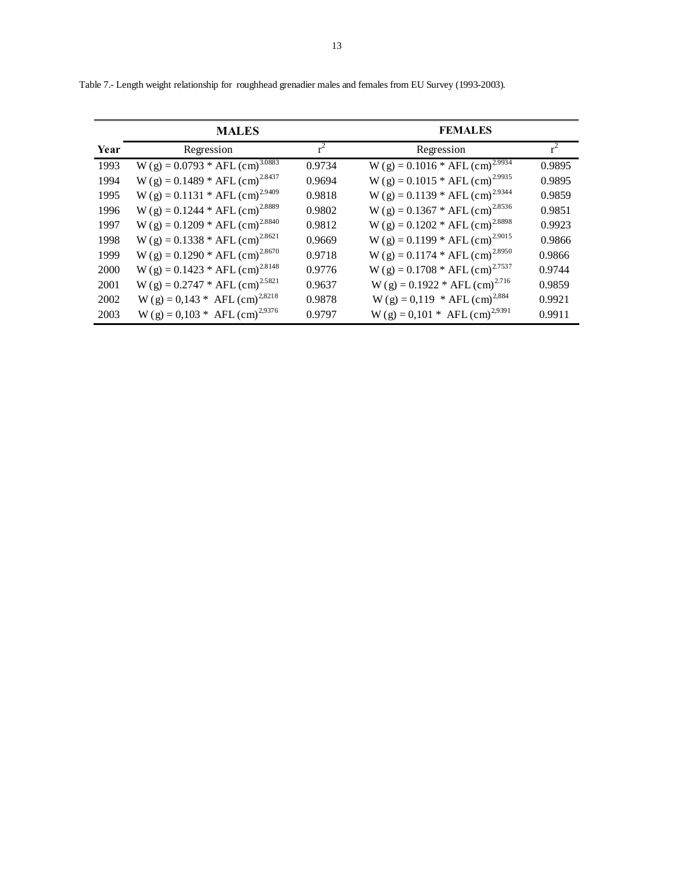|      | <b>MALES</b>                                 |        | <b>FEMALES</b>                               |        |
|------|----------------------------------------------|--------|----------------------------------------------|--------|
| Year | Regression                                   | $r^2$  | Regression                                   | $r^2$  |
| 1993 | $W(g) = 0.0793 * AFL (cm)3.0883$             | 0.9734 | $W(g) = 0.1016 * AFL (cm)2.9934$             | 0.9895 |
| 1994 | $W(g) = 0.1489 * AFL (cm)2.8437$             | 0.9694 | $W(g) = 0.1015 * AFL (cm)2.9935$             | 0.9895 |
| 1995 | $W(g) = 0.1131 * AFL (cm)2.9409$             | 0.9818 | $W(g) = 0.1139 * AFL (cm)2.9344$             | 0.9859 |
| 1996 | $W(g) = 0.1244 * AFL (cm)2.8889$             | 0.9802 | $W(g) = 0.1367 * AFL (cm)2.8536$             | 0.9851 |
| 1997 | $W(g) = 0.1209 * AFL (cm)2.8840$             | 0.9812 | $W(g) = 0.1202 * AFL (cm)2.8898$             | 0.9923 |
| 1998 | $W(g) = 0.1338 * AFL (cm)2.8621$             | 0.9669 | $W(g) = 0.1199 * AFL (cm)2.9015$             | 0.9866 |
| 1999 | $W(g) = 0.1290 * AFL (cm)2.8670$             | 0.9718 | $W(g) = 0.1174 * AFL (cm)2.8950$             | 0.9866 |
| 2000 | $W(g) = 0.1423 * AFL (cm)2.8148$             | 0.9776 | $W(g) = 0.1708 * AFL (cm)2.7537$             | 0.9744 |
| 2001 | $W(g) = 0.2747 * AFL (cm)2.5821$             | 0.9637 | W (g) = $0.1922 * AFL$ (cm) <sup>2.716</sup> | 0.9859 |
| 2002 | W (g) = $0,143$ * AFL (cm) <sup>2,8218</sup> | 0.9878 | W (g) = 0,119 * AFL (cm) <sup>2,884</sup>    | 0.9921 |
| 2003 | W (g) = 0,103 * AFL (cm) <sup>2,9376</sup>   | 0.9797 | $W(g) = 0,101 * AFL (cm)2,9391$              | 0.9911 |

Table 7.- Length weight relationship for roughhead grenadier males and females from EU Survey (1993-2003).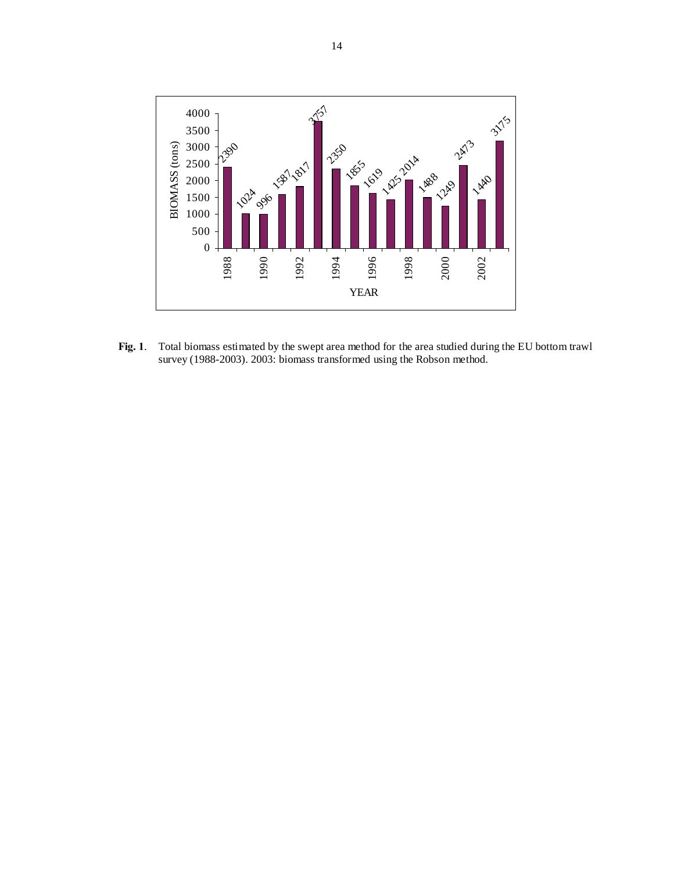

**Fig. 1**. Total biomass estimated by the swept area method for the area studied during the EU bottom trawl survey (1988-2003). 2003: biomass transformed using the Robson method.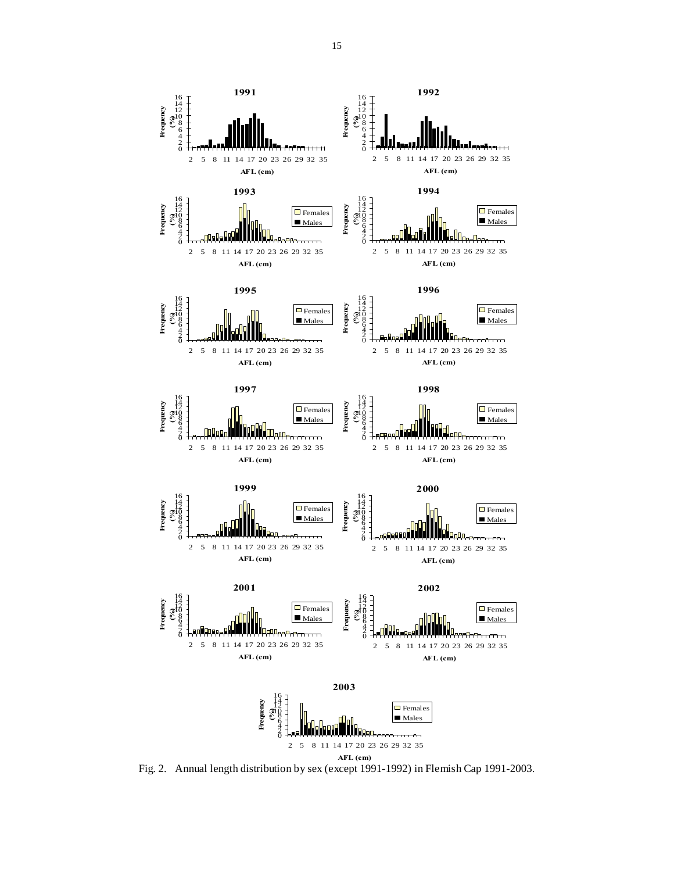

Fig. 2. Annual length distribution by sex (except 1991-1992) in Flemish Cap 1991-2003.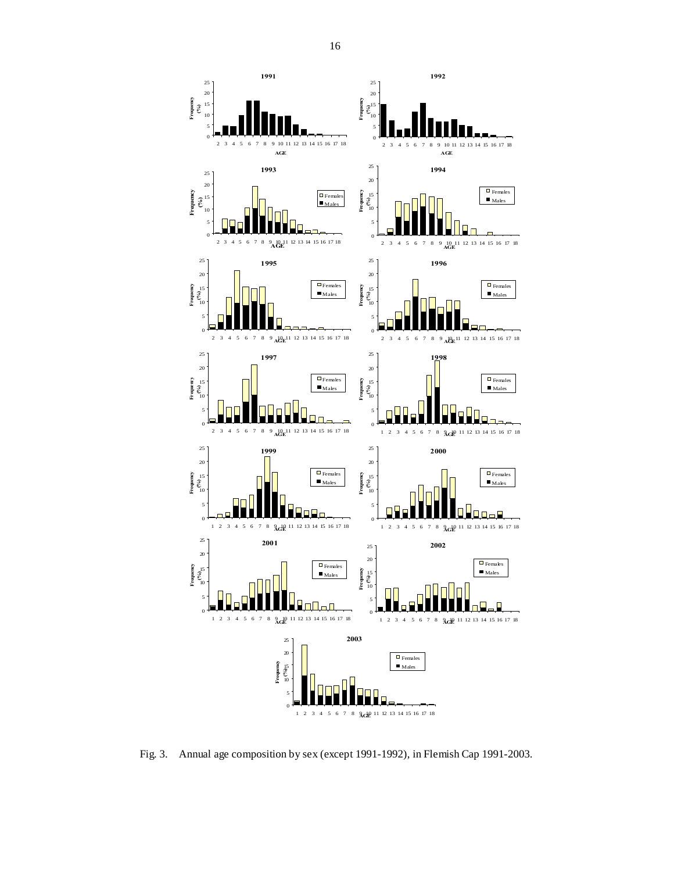

Fig. 3. Annual age composition by sex (except 1991-1992), in Flemish Cap 1991-2003.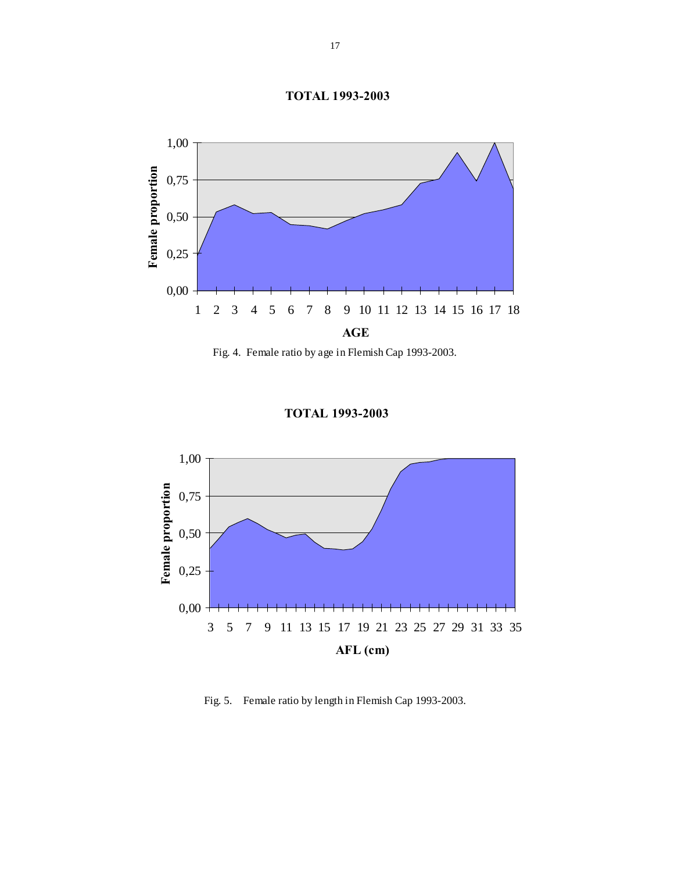



Fig. 4. Female ratio by age in Flemish Cap 1993-2003.



**TOTAL 1993-2003**

Fig. 5. Female ratio by length in Flemish Cap 1993-2003.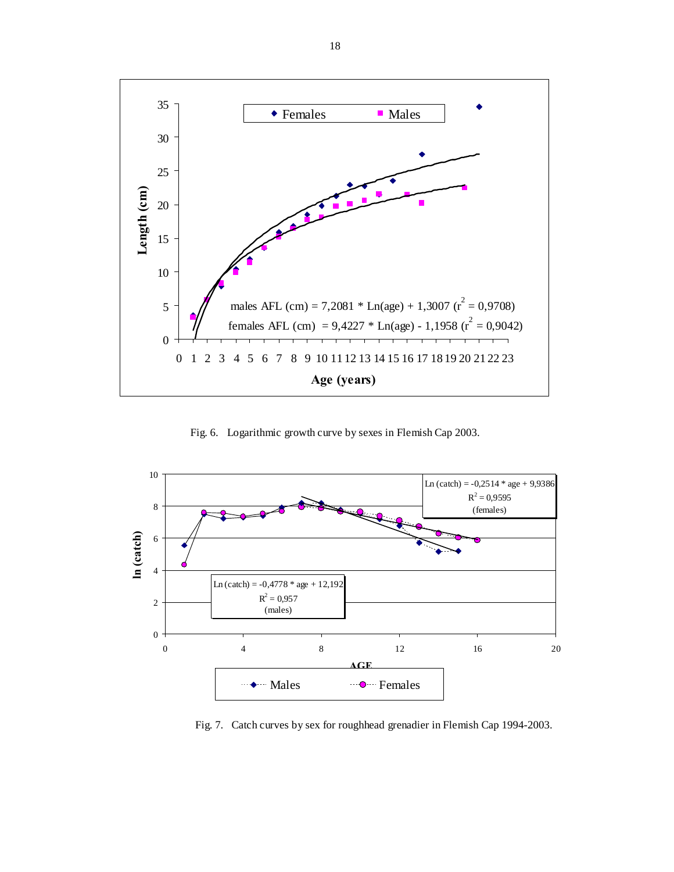

Fig. 6. Logarithmic growth curve by sexes in Flemish Cap 2003.



Fig. 7. Catch curves by sex for roughhead grenadier in Flemish Cap 1994-2003.